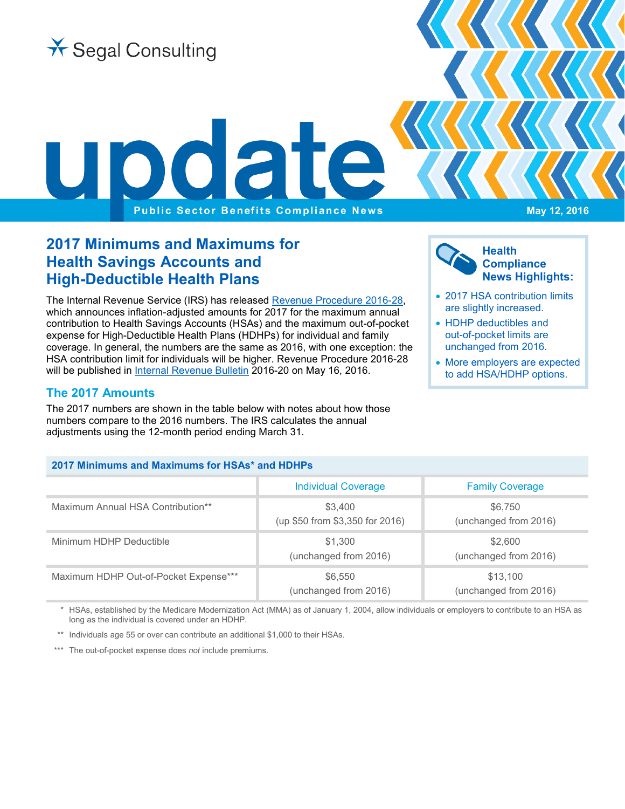

**Health Compliance News Highlights:**

• 2017 HSA contribution limits are slightly increased. • HDHP deductibles and out-of-pocket limits are unchanged from 2016. • More employers are expected to add HSA/HDHP options.

# **2017 Minimums and Maximums for Health Savings Accounts and High-Deductible Health Plans**

The Internal Revenue Service (IRS) has released [Revenue Procedure 2016-28,](https://www.irs.gov/pub/irs-drop/rp-16-28.pdf) which announces inflation-adjusted amounts for 2017 for the maximum annual contribution to Health Savings Accounts (HSAs) and the maximum out-of-pocket expense for High-Deductible Health Plans (HDHPs) for individual and family coverage. In general, the numbers are the same as 2016, with one exception: the HSA contribution limit for individuals will be higher. Revenue Procedure 2016-28 will be published in [Internal Revenue Bulletin](https://apps.irs.gov/app/picklist/list/internalRevenueBulletins.html) 2016-20 on May 16, 2016.

#### **The 2017 Amounts**

The 2017 numbers are shown in the table below with notes about how those numbers compare to the 2016 numbers. The IRS calculates the annual adjustments using the 12-month period ending March 31.

#### **2017 Minimums and Maximums for HSAs\* and HDHPs**

|                                       | <b>Individual Coverage</b>                 | <b>Family Coverage</b>            |
|---------------------------------------|--------------------------------------------|-----------------------------------|
| Maximum Annual HSA Contribution**     | \$3.400<br>(up \$50 from \$3,350 for 2016) | \$6.750<br>(unchanged from 2016)  |
| Minimum HDHP Deductible               | \$1,300<br>(unchanged from 2016)           | \$2,600<br>(unchanged from 2016)  |
| Maximum HDHP Out-of-Pocket Expense*** | \$6,550<br>(unchanged from 2016)           | \$13,100<br>(unchanged from 2016) |

\* HSAs, established by the Medicare Modernization Act (MMA) as of January 1, 2004, allow individuals or employers to contribute to an HSA as long as the individual is covered under an HDHP.

\*\* Individuals age 55 or over can contribute an additional \$1,000 to their HSAs.

The out-of-pocket expense does *not* include premiums.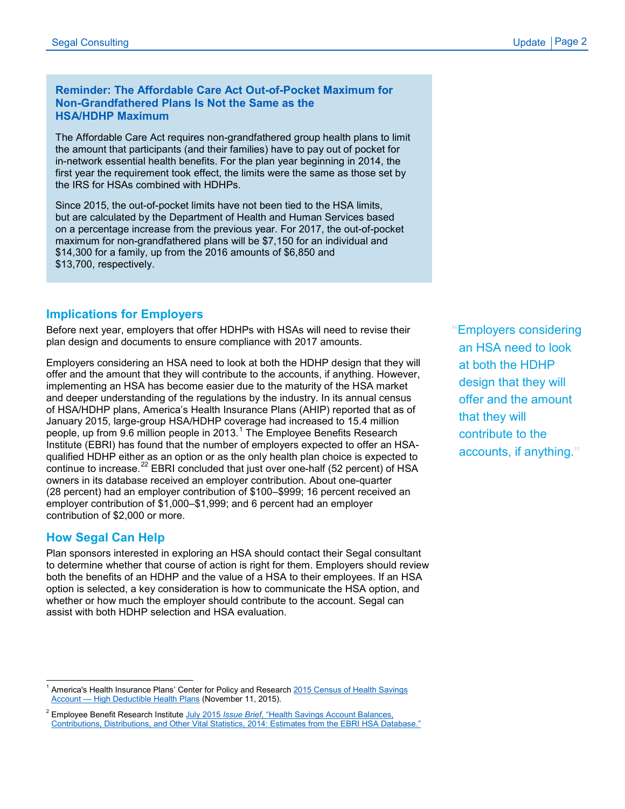#### **Reminder: The Affordable Care Act Out-of-Pocket Maximum for Non-Grandfathered Plans Is Not the Same as the HSA/HDHP Maximum**

The Affordable Care Act requires non-grandfathered group health plans to limit the amount that participants (and their families) have to pay out of pocket for in-network essential health benefits. For the plan year beginning in 2014, the first year the requirement took effect, the limits were the same as those set by the IRS for HSAs combined with HDHPs.

Since 2015, the out-of-pocket limits have not been tied to the HSA limits, but are calculated by the Department of Health and Human Services based on a percentage increase from the previous year. For 2017, the out-of-pocket maximum for non-grandfathered plans will be \$7,150 for an individual and \$14,300 for a family, up from the 2016 amounts of \$6,850 and \$13,700, respectively.

## **Implications for Employers**

Before next year, employers that offer HDHPs with HSAs will need to revise their plan design and documents to ensure compliance with 2017 amounts.

Employers considering an HSA need to look at both the HDHP design that they will offer and the amount that they will contribute to the accounts, if anything. However, implementing an HSA has become easier due to the maturity of the HSA market and deeper understanding of the regulations by the industry. In its annual census of HSA/HDHP plans, America's Health Insurance Plans (AHIP) reported that as of January 2015, large-group HSA/HDHP coverage had increased to 15.4 million people, up from 9.6 million people in 20[1](#page-1-0)3.<sup>1</sup> The Employee Benefits Research Institute (EBRI) has found that the number of employers expected to offer an HSAqualified HDHP either as an option or as the only health plan choice is expected to continue to increase. $^{22}$  $^{22}$  $^{22}$  EBRI concluded that just over one-half (52 percent) of HSA owners in its database received an employer contribution. About one-quarter (28 percent) had an employer contribution of \$100–\$999; 16 percent received an employer contribution of \$1,000–\$1,999; and 6 percent had an employer contribution of \$2,000 or more.

## **How Segal Can Help**

Plan sponsors interested in exploring an HSA should contact their Segal consultant to determine whether that course of action is right for them. Employers should review both the benefits of an HDHP and the value of a HSA to their employees. If an HSA option is selected, a key consideration is how to communicate the HSA option, and whether or how much the employer should contribute to the account. Segal can assist with both HDHP selection and HSA evaluation.

**"**Employers considering an HSA need to look at both the HDHP design that they will offer and the amount that they will contribute to the accounts, if anything.**"**

<span id="page-1-0"></span><sup>&</sup>lt;sup>1</sup> America's Health Insurance Plans' Center for Policy and Research 2015 Census of Health Savings Account - [High Deductible Health Plans](https://ahip.org/wp-content/uploads/2015/11/HSA_Report.pdf) (November 11, 2015).

<span id="page-1-1"></span><sup>&</sup>lt;sup>2</sup> Employee Benefit Research Institute July 2015 *Issue Brief*, "Health Savings Account Balances, [Contributions, Distributions, and Other Vital Statistics, 2014: Estimates from the EBRI HSA Database."](https://www.ebri.org/pdf/briefspdf/EBRI_IB_416.July15.HSAs.pdf)